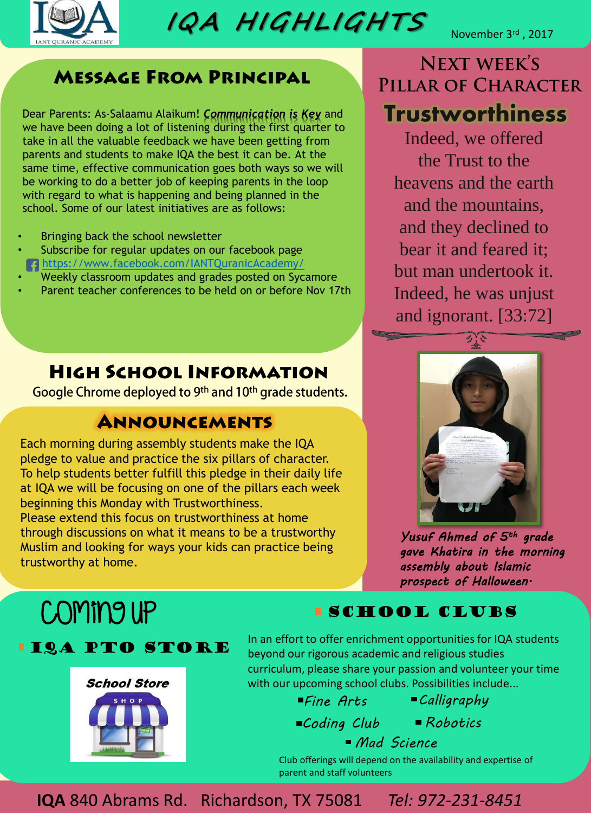

**IQA H IGHL IGHTS** 

November 3<sup>rd</sup>, 2017

**Trustworthiness**

**NEXT WEEK'S** 

PILLAR OF CHARACTER

Indeed, we offered

the Trust to the

heavens and the earth

and the mountains,

and they declined to

bear it and feared it;

but man undertook it.

Indeed, he was unjust

and ignorant. [33:72]

#### **MESSAGE FROM PRINCIPAL**

Dear Parents: As-Salaamu Alaikum! *Communication is Key* and we have been doing a lot of listening during the first quarter to take in all the valuable feedback we have been getting from parents and students to make IQA the best it can be. At the same time, effective communication goes both ways so we will be working to do a better job of keeping parents in the loop with regard to what is happening and being planned in the school. Some of our latest initiatives are as follows:

- Bringing back the school newsletter
- Subscribe for regular updates on our facebook page <https://www.facebook.com/IANTQuranicAcademy/>
- Weekly classroom updates and grades posted on Sycamore
- Parent teacher conferences to be held on or before Nov 17th

### **HIGH SCHOOL INFORMATION**

Google Chrome deployed to 9th and 10th grade students.

### **ANNOUNCEMENTS**

Each morning during assembly students make the IQA pledge to value and practice the six pillars of character. To help students better fulfill this pledge in their daily life at IQA we will be focusing on one of the pillars each week beginning this Monday with Trustworthiness. Please extend this focus on trustworthiness at home through discussions on what it means to be a trustworthy Muslim and looking for ways your kids can practice being trustworthy at home.

*Yusuf Ahmed of 5th grade gave Khatira in the morning assembly about Islamic prospect of Halloween.*

# Coming up

#### **ILA PTO STORE**



#### **SCHOOL CLUBS**

In an effort to offer enrichment opportunities for IQA students beyond our rigorous academic and religious studies curriculum, please share your passion and volunteer your time with our upcoming school clubs. Possibilities include...

*Fine Arts*

*Calligraphy*

*Coding Club Robotics* 

*Mad Science* 

Club offerings will depend on the availability and expertise of parent and staff volunteers

**IQA** 840 Abrams Rd. Richardson, TX 75081 *Tel: 972-231-8451*